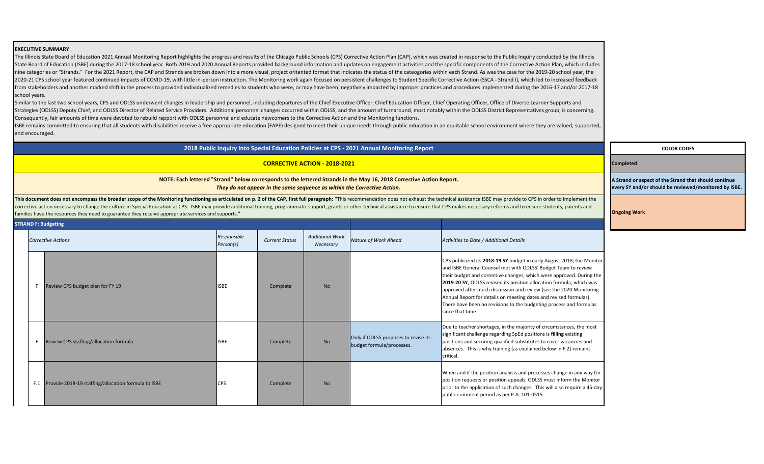### **COLOR CODES**

#### **Completed**

**A Strand or aspect of the Strand that should continue every SY and/or should be reviewed/monitored by ISBE.**

### *Nature of Work Ahead Activities to Date / Additional Details*

19 SY budget in early August 2018; the Monitor el met with ODLSS' Budget Team to review tive changes, which were approved. During the **2019-20 SY**, ODLSS revised its position allocation formula, which was scussion and review (see the 2020 Monitoring Is on meeting dates and revised formulas). isions to the budgeting process and formulas

es, in the majority of circumstances, the most tarding SpEd positions is **filling** existing qualified substitutes to cover vacancies and raining (as explained below in F.2) remains

n analysis and processes change in any way for sition appeals, ODLSS must inform the Monitor of such changes. This will also require a 45-day as per P.A. 101-0515.

The Illinois State Board of Education 2021 Annual Monitoring Report highlights the progress and results of the Chicago Public Schools (CPS) Corrective Action Plan (CAP), which was created in response to the Public Inquiry State Board of Education (ISBE) during the 2017-18 school year. Both 2019 and 2020 Annual Reports provided background information and updates on engagement activities and the specific components of the Corrective Action Pl nine categories or "Strands." For the 2021 Report, the CAP and Strands are broken down into a more visual, project oritented format that indicates the status of the cateogories within each Strand. As was the case for the 2 2020-21 CPS school year featured continued impacts of COVID-19, with little in-person instruction. The Monitoring work again focused on persistent challenges to Student Specific Corrective Action (SSCA - Strand I), which l from stakeholders and another marked shift in the process to provided individualized remedies to students who were, or may have been, negatively impacted by improper practices and procedures implemented during the 2016-17 school years.

**Ongoing Work**

# **EXECUTIVE SUMMARY**

Similar to the last two school years, CPS and ODLSS underwent changes in leadership and personnel, including departures of the Chief Executive Officer, Chief Education Officer, Chief Operating Officer, Office of Diverse Le Strategies (ODLSS) Deputy Chief, and ODLSS Director of Related Service Providers. Additional personnel changes occurred within ODLSS, and the amount of turnaround, most notably within the ODLSS District Representatives gro Consequently, fair amounts of time were devoted to rebuild rapport with ODLSS personnel and educate newcomers to the Corrective Action and the Monitoring functions.

ISBE remains committed to ensuring that all students with disabilities receive a free appropriate education (FAPE) designed to meet their unique needs through public education in an equitable school environment where they and encouraged.

This document does not encompass the broader scope of the Monitoring functioning as articulated on p. 2 of the CAP, first full paragraph: "This recommendation does not exhaust the technical assistance ISBE may provide to C corrective action necessary to change the culture in Special Education at CPS. ISBE may provide additional training, programmatic support, grants or other technical assistance to ensure that CPS makes necessary reforms and families have the resources they need to guarantee they receive appropriate services and supports."

|     | <b>STRAND F: Budgeting</b>                          |                          |                       |                                     |                                                                   |                                                                                                                                                                                                                  |
|-----|-----------------------------------------------------|--------------------------|-----------------------|-------------------------------------|-------------------------------------------------------------------|------------------------------------------------------------------------------------------------------------------------------------------------------------------------------------------------------------------|
|     | <b>Corrective Actions</b>                           | Responsible<br>Person(s) | <b>Current Status</b> | <b>Additional Work</b><br>Necessary | Nature of Work Ahead                                              | Activities to Date / Addit                                                                                                                                                                                       |
| F.  | Review CPS budget plan for FY 19                    | <b>ISBE</b>              | Complete              | <b>No</b>                           |                                                                   | CPS publicized its 2018-:<br>and ISBE General Couns<br>their budget and correct<br>2019-20 SY, ODLSS revis<br>approved after much dis<br>Annual Report for detail<br>There have been no revi<br>since that time. |
| F.  | Review CPS staffing/allocation formula              | <b>ISBE</b>              | Complete              | <b>No</b>                           | Only if ODLSS proposes to revise its<br>budget formula/processes. | Due to teacher shortage<br>significant challenge reg<br>positions and securing q<br>absences. This is why tr<br>critical.                                                                                        |
| F.1 | Provide 2018-19 staffing/allocation formula to ISBE | <b>CPS</b>               | Complete              | <b>No</b>                           |                                                                   | When and if the positior<br>position requests or pos<br>prior to the application<br>public comment period                                                                                                        |

**2018 Public Inquiry into Special Education Policies at CPS - 2021 Annual Monitoring Report**

# **CORRECTIVE ACTION - 2018-2021**

# **NOTE: Each lettered "Strand" below corresponds to the lettered Strands in the May 16, 2018 Corrective Action Report.**  *They do not appear in the same sequence as within the Corrective Action.*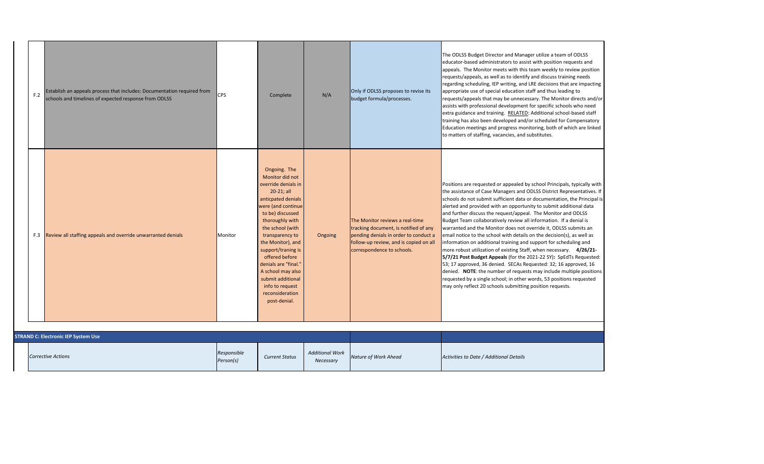| F.2 | Establish an appeals process that includes: Documentation required from<br>schools and timelines of expected response from ODLSS | <b>CPS</b> | Complete                                                                                                                                                                                                                                                                                                                                                                            | N/A     | Only if ODLSS proposes to revise its<br>budget formula/processes.                                                                                                                         | The ODLSS Budget Direct<br>educator-based administ<br>appeals. The Monitor m<br>requests/appeals, as wel<br>regarding scheduling, IEI<br>appropriate use of specia<br>requests/appeals that m<br>assists with professional<br>extra guidance and train<br>training has also been de<br>Education meetings and<br>to matters of staffing, va                                                                                      |
|-----|----------------------------------------------------------------------------------------------------------------------------------|------------|-------------------------------------------------------------------------------------------------------------------------------------------------------------------------------------------------------------------------------------------------------------------------------------------------------------------------------------------------------------------------------------|---------|-------------------------------------------------------------------------------------------------------------------------------------------------------------------------------------------|----------------------------------------------------------------------------------------------------------------------------------------------------------------------------------------------------------------------------------------------------------------------------------------------------------------------------------------------------------------------------------------------------------------------------------|
|     | F.3 Review all staffing appeals and override unwarranted denials                                                                 | Monitor    | Ongoing. The<br>Monitor did not<br>override denials in<br>20-21; all<br>anticpated denials<br>were (and continue<br>to be) discussed<br>thoroughly with<br>the school (with<br>transparency to<br>the Monitor), and<br>support/traning is<br>offered before<br>denials are "final."<br>A school may also<br>submit additional<br>info to request<br>reconsideration<br>post-denial. | Ongoing | The Monitor reviews a real-time<br>tracking document, is notified of any<br>pending denials in order to conduct a<br>follow-up review, and is copied on all<br>correspondence to schools. | Positions are requested<br>the assistance of Case M<br>schools do not submit su<br>alerted and provided wit<br>and further discuss the r<br><b>Budget Team collaborati</b><br>warranted and the Moni<br>email notice to the scho<br>information on additiona<br>more robust utilization c<br>5/7/21 Post Budget App<br>53; 17 approved, 36 den<br>denied. NOTE: the num<br>requested by a single sch<br>may only reflect 20 scho |

| <b>STRAND C: Electronic IEP System Use</b> |                          |                       |                                     |                      |                             |
|--------------------------------------------|--------------------------|-----------------------|-------------------------------------|----------------------|-----------------------------|
| <b>Corrective Actions</b>                  | Responsible<br>Person(s) | <b>Current Status</b> | <b>Additional Work</b><br>Necessary | Nature of Work Ahead | Activities to Date / Additi |

ctor and Manager utilize a team of ODLSS strators to assist with position requests and neets with this team weekly to review position ell as to identify and discuss training needs P writing, and LRE decisions that are impacting ial education staff and thus leading to nay be unnecessary. The Monitor directs and/or I development for specific schools who need ing. RELATED: Additional school-based staff eveloped and/or scheduled for Compensatory I progress monitoring, both of which are linked acancies, and substitutes.

or appealed by school Principals, typically with Aanagers and ODLSS District Representatives. If ufficient data or documentation, the Principal is ith an opportunity to submit additional data request/appeal. The Monitor and ODLSS ively review all information. If a denial is itor does not override it, ODLSS submits an ool with details on the decision(s), as well as ial training and support for scheduling and of existing Staff, when necessary. **4/26/21**peals (for the 2021-22 SY): SpEdTs Requested: iied. SECAs Requested: 32; 16 approved, 16 nber of requests may include multiple positions chool; in other words, 53 positions requested pols submitting position requests.

*Nature of Work Ahead Activities to Date / Additional Details*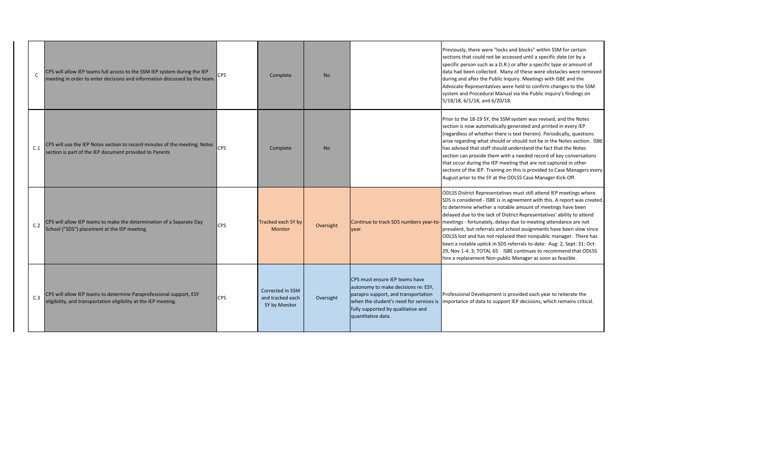|     | CPS will allow IEP teams full access to the SSM IEP system during the IEP<br>$\mathsf{C}$<br>meeting in order to enter decisions and information discussed by the team. | <b>CPS</b> | Complete                                              | <b>No</b> |                                                                                                                                                                                                                     | Previously, there were "<br>sections that could not b<br>specific person such as a<br>data had been collected<br>during and after the Pub<br>Advocate Representativ<br>system and Procedural M<br>5/18/18, 6/1/18, and 6/                                        |
|-----|-------------------------------------------------------------------------------------------------------------------------------------------------------------------------|------------|-------------------------------------------------------|-----------|---------------------------------------------------------------------------------------------------------------------------------------------------------------------------------------------------------------------|------------------------------------------------------------------------------------------------------------------------------------------------------------------------------------------------------------------------------------------------------------------|
| C.1 | CPS will use the IEP Notes section to record minutes of the meeting; Notes<br>section is part of the IEP document provided to Parents                                   | <b>CPS</b> | Complete                                              | <b>No</b> |                                                                                                                                                                                                                     | Prior to the 18-19 SY, the<br>section is now automation<br>(regardless of whether t<br>arise regarding what sho<br>has advised that staff sh<br>section can provide ther<br>that occur during the IEF<br>sections of the IEP. Trair<br>August prior to the SY at |
| C.2 | CPS will allow IEP teams to make the determination of a Separate Day<br>School ("SDS") placement at the IEP meeting.                                                    | <b>CPS</b> | Tracked each SY by<br>Monitor                         | Oversight | Continue to track SDS numbers year-to- meetings - fortunately, o<br>year.                                                                                                                                           | <b>ODLSS District Represen</b><br>SDS is considered - ISBE<br>to determine whether a<br>delayed due to the lack<br>prevalent, but referrals a<br>ODLSS lost and has not r<br>been a notable uptick in<br>29, Nov 1-4: 3; TOTAL 65<br>hire a replacement Non-     |
| C.3 | CPS will allow IEP teams to determine Paraprofessional support, ESY<br>eligibility, and transportation eligibility at the IEP meeting.                                  | <b>CPS</b> | Corrected in SSM<br>and tracked each<br>SY by Monitor | Oversight | CPS must ensure IEP teams have<br>autonomy to make decisions re: ESY,<br>parapro support, and transportation<br>when the student's need for services is<br>fully supported by qualitative and<br>quantitative data. | Professional Developme<br>importance of data to su                                                                                                                                                                                                               |

'locks and blocks" within SSM for certain be accessed until a specific date (or by a a D.R.) or after a specific type or amount of Many of these were obstacles were removed blic Inquiry. Meetings with ISBE and the es were held to confirm changes to the SSM Manual via the Public Inquiry's findings on /20/18.

e SSM system was revised, and the Notes ically generated and printed in every IEP there is text therein). Periodically, questions ould or should not be in the Notes section. ISBE hould understand the fact that the Notes m with a needed record of key conversations P meeting that are not captured in other ning on this is provided to Case Managers every t the ODLSS Case Manager Kick-Off.

Itatives must still attend IEP meetings where is in agreement with this. A report was created notable amount of meetings have been of District Representatives' ability to attend delays due to meeting attendance are not and school assignments have been slow since replaced their nonpublic manager. There has beth SDS referrals to-date: Aug: 2, Sept: 31; Oct: 5 ISBE continues to recommend that ODLSS -public Manager as soon as feasible.

ent is provided each year to reiterate the upport IEP decisions, which remains critical.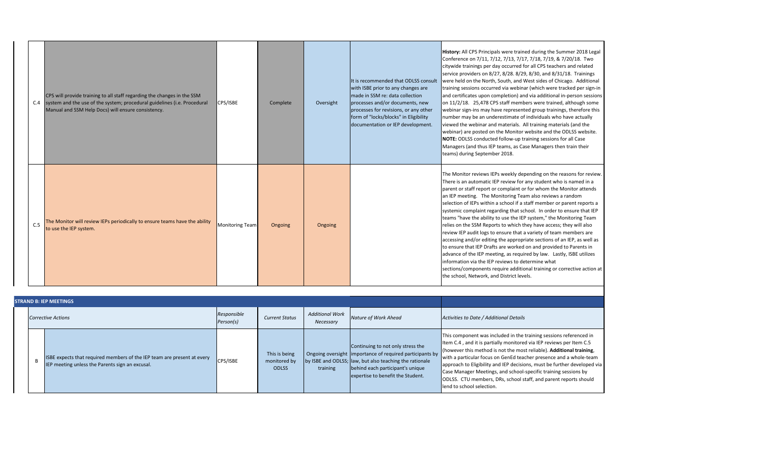|     | CPS will provide training to all staff regarding the changes in the SSM<br>C.4 system and the use of the system; procedural guidelines (i.e. Procedural<br>Manual and SSM Help Docs) will ensure consistency. | CPS/ISBE        | Complete | Oversight | It is recommended that ODLSS consult<br>with ISBE prior to any changes are<br>made in SSM re: data collection<br>processes and/or documents, new<br>processes for revisions, or any other<br>form of "locks/blocks" in Eligibility<br>documentation or IEP development. | History: All CPS Principa<br>Conference on 7/11, 7/1<br>citywide trainings per da<br>service providers on 8/2<br>were held on the North,<br>training sessions occurre<br>and certificates upon co<br>on 11/2/18. 25,478 CPS<br>webinar sign-ins may ha<br>number may be an unde<br>viewed the webinar and<br>webinar) are posted on t<br><b>NOTE: ODLSS conducted</b><br>Managers (and thus IEP<br>teams) during Septembe       |
|-----|---------------------------------------------------------------------------------------------------------------------------------------------------------------------------------------------------------------|-----------------|----------|-----------|-------------------------------------------------------------------------------------------------------------------------------------------------------------------------------------------------------------------------------------------------------------------------|---------------------------------------------------------------------------------------------------------------------------------------------------------------------------------------------------------------------------------------------------------------------------------------------------------------------------------------------------------------------------------------------------------------------------------|
| C.5 | The Monitor will review IEPs periodically to ensure teams have the ability<br>to use the IEP system.                                                                                                          | Monitoring Team | Ongoing  | Ongoing   |                                                                                                                                                                                                                                                                         | The Monitor reviews IEP<br>There is an automatic IE<br>parent or staff report or<br>an IEP meeting. The Mo<br>selection of IEPs within a<br>systemic complaint rega<br>teams "have the ability t<br>relies on the SSM Report<br>review IEP audit logs to<br>accessing and/or editing<br>to ensure that IEP Drafts<br>advance of the IEP meet<br>information via the IEP r<br>sections/components re<br>the school, Network, and |

uded in the training sessions referenced in Ily monitored via IEP reviews per Item C.5 not the most reliable). Additional training, i GenEd teacher presence and a whole-team d IEP decisions, must be further developed via and school-specific training sessions by Rs, school staff, and parent reports should

| <b>STRAND B: IEP MEETINGS</b> |                                                                                                                            |                          |                                               |                                     |                                                                                                                                                                                                                                    |                                                                                                                                                                                                                                        |  |
|-------------------------------|----------------------------------------------------------------------------------------------------------------------------|--------------------------|-----------------------------------------------|-------------------------------------|------------------------------------------------------------------------------------------------------------------------------------------------------------------------------------------------------------------------------------|----------------------------------------------------------------------------------------------------------------------------------------------------------------------------------------------------------------------------------------|--|
|                               | <b>Corrective Actions</b>                                                                                                  | Responsible<br>Person(s) | <b>Current Status</b>                         | <b>Additional Work</b><br>Necessary | Nature of Work Ahead                                                                                                                                                                                                               | Activities to Date / Additi                                                                                                                                                                                                            |  |
| B                             | ISBE expects that required members of the IEP team are present at every<br>IEP meeting unless the Parents sign an excusal. | CPS/ISBE                 | This is being<br>monitored by<br><b>ODLSS</b> | training                            | Continuing to not only stress the<br>Ongoing oversight limportance of required participants by<br>by ISBE and ODLSS; law, but also teaching the rationale<br>behind each participant's unique<br>expertise to benefit the Student. | This component was inclu<br>Item C.4, and it is partial<br>(however this method is<br>with a particular focus or<br>approach to Eligibility and<br>Case Manager Meetings,<br><b>ODLSS.</b> CTU members, D<br>lend to school selection. |  |

**History:** *Als were trained during the Summer 2018 Legal* Conference on 7/11, 7/12, 7/13, 7/17, 7/18, 7/19, & 7/20/18. Two ay occurred for all CPS teachers and related 27, 8/28. 8/29, 8/30, and 8/31/18. Trainings , South, and West sides of Chicago. Additional ed via webinar (which were tracked per sign-in ompletion) and via additional in-person sessions S staff members were trained, although some ave represented group trainings, therefore this erestimate of individuals who have actually I materials. All training materials (and the the Monitor website and the ODLSS website. d follow-up training sessions for all Case teams, as Case Managers then train their er 2018.

Ps weekly depending on the reasons for review. There is an automation is named in a r complaint or for whom the Monitor attends onitoring Team also reviews a random a school if a staff member or parent reports a arding that school. In order to ensure that IEP to use the IEP system," the Monitoring Team ts to which they have access; they will also ensure that a variety of team members are g the appropriate sections of an IEP, as well as s are worked on and provided to Parents in ting, as required by law. Lastly, ISBE utilizes reviews to determine what

equire additional training or corrective action at d District levels.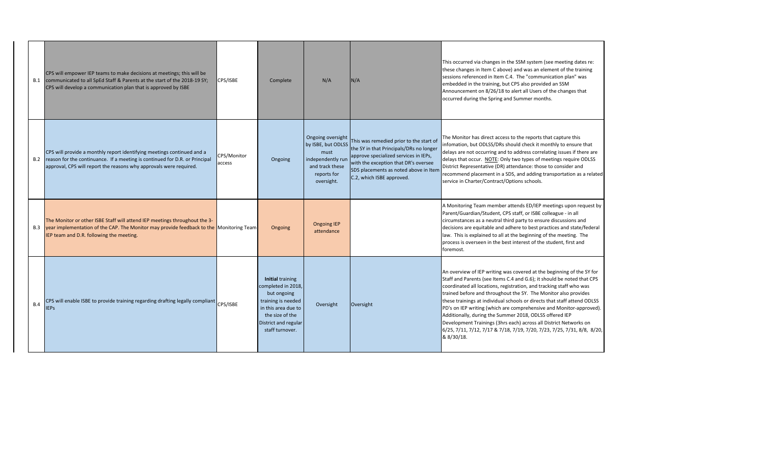ing was covered at the beginning of the SY for tems C.4 and G.6); it should be noted that CPS s, registration, and tracking staff who was ughout the SY. The Monitor also provides dual schools or directs that staff attend ODLSS ich are comprehensive and Monitor-approved). Summer 2018, ODLSS offered IEP (3hrs each) across all District Networks on 6/25, 7/11, 7/12, 7/17 & 7/18, 7/19, 7/20, 7/23, 7/25, 7/31, 8/8, 8/20,

| B.1 | CPS will empower IEP teams to make decisions at meetings; this will be<br>communicated to all SpEd Staff & Parents at the start of the 2018-19 SY;<br>CPS will develop a communication plan that is approved by ISBE        | CPS/ISBE              | Complete                                                                                                                                                                | N/A                                                                                                                  | N/A                                                                                                                                                                                                                                       | This occurred via change<br>these changes in Item C<br>sessions referenced in It<br>embedded in the trainin<br>Announcement on 8/26,<br>occurred during the Spri                                                                                                         |
|-----|-----------------------------------------------------------------------------------------------------------------------------------------------------------------------------------------------------------------------------|-----------------------|-------------------------------------------------------------------------------------------------------------------------------------------------------------------------|----------------------------------------------------------------------------------------------------------------------|-------------------------------------------------------------------------------------------------------------------------------------------------------------------------------------------------------------------------------------------|--------------------------------------------------------------------------------------------------------------------------------------------------------------------------------------------------------------------------------------------------------------------------|
| B.2 | CPS will provide a monthly report identifying meetings continued and a<br>reason for the continuance. If a meeting is continued for D.R. or Principal<br>approval, CPS will report the reasons why approvals were required. | CPS/Monitor<br>access | Ongoing                                                                                                                                                                 | Ongoing oversight<br>by ISBE, but ODLSS<br>must<br>independently run<br>and track these<br>reports for<br>oversight. | This was remedied prior to the start of<br>the SY in that Principals/DRs no longer<br>approve specialized services in IEPs,<br>with the exception that DR's oversee<br>SDS placements as noted above in Item<br>C.2, which ISBE approved. | The Monitor has direct a<br>infomation, but ODLSS/I<br>delays are not occurring<br>delays that occur. NOTE<br>District Representative (<br>recommend placement<br>service in Charter/Contr                                                                               |
| B.3 | The Monitor or other ISBE Staff will attend IEP meetings throughout the 3-<br>year implementation of the CAP. The Monitor may provide feedback to the Monitoring Team<br>IEP team and D.R. following the meeting.           |                       | Ongoing                                                                                                                                                                 | <b>Ongoing IEP</b><br>attendance                                                                                     |                                                                                                                                                                                                                                           | A Monitoring Team men<br>Parent/Guardian/Studer<br>circumstances as a neut<br>decisions are equitable a<br>law. This is explained to<br>process is overseen in th<br>foremost.                                                                                           |
| B.4 | CPS will enable ISBE to provide training regarding drafting legally compliant CPS/ISBE<br><b>IEPS</b>                                                                                                                       |                       | <b>Initial training</b><br>completed in 2018,<br>but ongoing<br>training is needed<br>in this area due to<br>the size of the<br>District and regular<br>staff turnover. | Oversight                                                                                                            | Oversight                                                                                                                                                                                                                                 | An overview of IEP writi<br>Staff and Parents (see It<br>coordinated all locations<br>trained before and throu<br>these trainings at indivic<br>PD's on IEP writing (whio<br>Additionally, during the<br>Development Trainings<br>6/25, 7/11, 7/12, 7/17 8<br>8 8/30/18. |

es in the SSM system (see meeting dates re: above) and was an element of the training tem C.4. The "communication plan" was ng, but CPS also provided an SSM  $\delta/18$  to alert all Users of the changes that ing and Summer months.

access to the reports that capture this DRs should check it monthly to ensure that g and to address correlating issues if there are  $\underline{\mathsf{E}}$ : Only two types of meetings require ODLSS (DR) attendance: those to consider and in a SDS, and adding transportation as a related ract/Options schools.

mber attends ED/IEP meetings upon request by nt, CPS staff, or ISBE colleague - in all tral third party to ensure discussions and and adhere to best practices and state/federal is all at the beginning of the meeting. The he best interest of the student, first and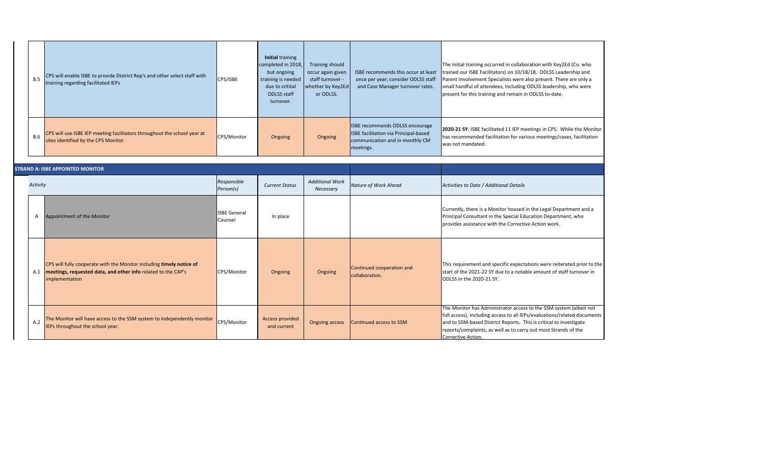**2020-21 SY**: ISBE facilitated 11 IEP meetings in CPS. While the Monitor itation for various meetings/cases, facilitation

| B.5        | CPS will enable ISBE to provide District Rep's and other select staff with<br>training regarding facilitated IEPs | CPS/ISBE    | Initial training<br>completed in 2018,<br>but ongoing<br>training is needed<br>due to critital<br><b>ODLSS staff</b><br>turnover. | Training should<br>occur again given<br>staff turnover -<br>whether by Key2Ed<br>or ODLSS. | ISBE recommends this occur at least<br>once per year; consider ODLSS staff<br>and Case Manager turnover rates.           | The initial training occurr<br>trained our ISBE Facilitate<br><b>Parent Involvement Spec</b><br>small handful of attende<br>present for this training a |
|------------|-------------------------------------------------------------------------------------------------------------------|-------------|-----------------------------------------------------------------------------------------------------------------------------------|--------------------------------------------------------------------------------------------|--------------------------------------------------------------------------------------------------------------------------|---------------------------------------------------------------------------------------------------------------------------------------------------------|
| <b>B.6</b> | CPS will use ISBE IEP meeting facilitators throughout the school year at<br>sites identified by the CPS Monitor   | CPS/Monitor | Ongoing                                                                                                                           | Ongoing                                                                                    | ISBE recommends ODLSS encourage<br>ISBE facilitation via Principal-based<br>communication and in monthly CM<br>meetings. | 2020-21 SY: ISBE facilitat<br>has recommended facilit<br>Iwas not mandated.                                                                             |

### *Nature of Work Ahead Activities to Date / Additional Details*

nitor housed in the Legal Department and a he Special Education Department, who n the Corrective Action work.

 $\frac{1}{2}$  requirement and specific expectations were reiterated prior to the due to a notable amount of staff turnover in

istrator access to the SSM system (albeit not cess to all IEPs/evaluations/related documents ict Reports. This is critical to investigate well as to carry out most Strands of the

|          | <b>STRAND A: ISBE APPOINTED MONITOR</b>                                                                                                                 |                                |                                |                                     |                                             |                                                                                                                                          |
|----------|---------------------------------------------------------------------------------------------------------------------------------------------------------|--------------------------------|--------------------------------|-------------------------------------|---------------------------------------------|------------------------------------------------------------------------------------------------------------------------------------------|
| Activity | Responsible<br>Person(s)                                                                                                                                |                                | <b>Current Status</b>          | <b>Additional Work</b><br>Necessary | Nature of Work Ahead                        | Activities to Date / Additio                                                                                                             |
| Α        | Appointment of the Monitor                                                                                                                              | <b>ISBE General</b><br>Counsel | In place                       |                                     |                                             | Currently, there is a Moni<br>Principal Consultant in the<br>provides assistance with t                                                  |
| A.1      | CPS will fully cooperate with the Monitor including timely notice of<br>meetings, requested data, and other info related to the CAP's<br>implementation | CPS/Monitor                    | Ongoing                        | Ongoing                             | Continued cooperation and<br>collaboration. | This requirement and spe<br>start of the 2021-22 SY du<br>ODLSS in the 2020-21 SY.                                                       |
| A.2      | The Monitor will have access to the SSM system to independently monitor<br>IEPs throughout the school year.                                             | CPS/Monitor                    | Access provided<br>and current | <b>Ongoing access</b>               | Continued access to SSM                     | The Monitor has Administ<br>full access), including acce<br>and to SSM-based District<br>reports/complaints, as we<br>Corrective Action. |

red in collaboration with Key2Ed (Co. who tors) on 10/18/18. ODLSS Leadership and cialists were also present. There are only a ees, including ODLSS leadership, who were and remain in ODLSS to-date.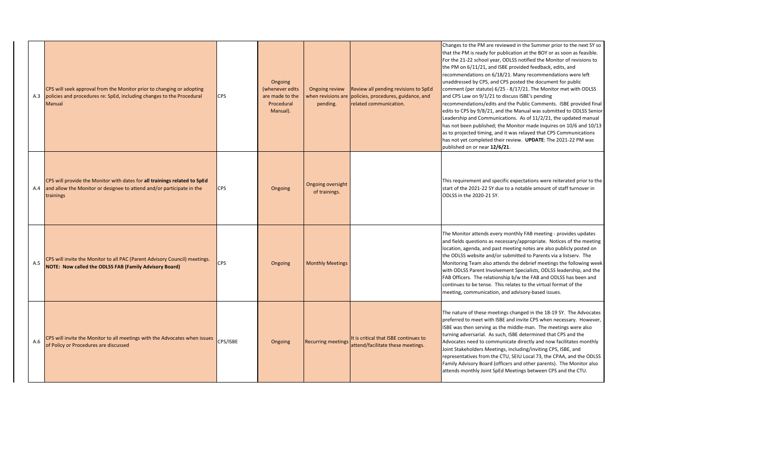and the Public Comments. ISBE provided final and the Manual was submitted to ODLSS Senior  $n$ ications. As of 11/2/21, the updated manual ; the Monitor made inquires on 10/6 and 10/13 and it was relayed that CPS Communications heir review. **UPDATE**: The 2021-22 PM was published on or near **12/6/21**.

 $\alpha$  pecific expectations were reiterated prior to the due to a notable amount of staff turnover in

ery monthly FAB meeting - provides updates necessary/appropriate. Notices of the meeting ast meeting notes are also publicly posted on or submitted to Parents via a listserv. The Ittends the debrief meetings the following week lvement Specialists, ODLSS leadership, and the onship b/w the FAB and ODLSS has been and This relates to the virtual format of the m, and advisory-based issues.

etings changed in the 18-19 SY. The Advocates ISBE and invite CPS when necessary. However, s the middle-man. The meetings were also such, ISBE determined that CPS and the municate directly and now facilitates monthly tings, including/inviting CPS, ISBE, and re CTU, SEIU Local 73, the CPAA, and the ODLSS officers and other parents). The Monitor also pEd Meetings between CPS and the CTU.

| A.3 | CPS will seek approval from the Monitor prior to changing or adopting<br>policies and procedures re: SpEd, including changes to the Procedural<br>Manual        | <b>CPS</b> | Ongoing<br>(whenever edits<br>are made to the<br>Procedural<br>Manual). | Ongoing review<br>pending.         | Review all pending revisions to SpEd<br>when revisions are policies, procedures, guidance, and<br>related communication. | Changes to the PM are re<br>that the PM is ready for p<br>For the 21-22 school year<br>the PM on 6/11/21, and II<br>recommendations on 6/1<br>unaddressed by CPS, and<br>comment (per statute) 6/<br>and CPS Law on 9/1/21 to<br>recommendations/edits a<br>edits to CPS by 9/8/21, ar<br>Leadership and Communi<br>has not been published; t<br>as to projected timing, an<br>has not yet completed the<br>published on or near 12/6 |
|-----|-----------------------------------------------------------------------------------------------------------------------------------------------------------------|------------|-------------------------------------------------------------------------|------------------------------------|--------------------------------------------------------------------------------------------------------------------------|---------------------------------------------------------------------------------------------------------------------------------------------------------------------------------------------------------------------------------------------------------------------------------------------------------------------------------------------------------------------------------------------------------------------------------------|
| A.4 | CPS will provide the Monitor with dates for all trainings related to SpEd<br>and allow the Monitor or designee to attend and/or participate in the<br>trainings | <b>CPS</b> | Ongoing                                                                 | Ongoing oversight<br>of trainings. |                                                                                                                          | This requirement and spe<br>start of the 2021-22 SY du<br>ODLSS in the 2020-21 SY.                                                                                                                                                                                                                                                                                                                                                    |
| A.5 | CPS will invite the Monitor to all PAC (Parent Advisory Council) meetings.<br>NOTE: Now called the ODLSS FAB (Family Advisory Board)                            | <b>CPS</b> | Ongoing                                                                 | <b>Monthly Meetings</b>            |                                                                                                                          | The Monitor attends ever<br>and fields questions as ne<br>location, agenda, and pas<br>the ODLSS website and/o<br>Monitoring Team also att<br>with ODLSS Parent Involv<br>FAB Officers. The relation<br>continues to be tense. Th<br>meeting, communication,                                                                                                                                                                          |
| A.6 | CPS will invite the Monitor to all meetings with the Advocates when issues<br>of Policy or Procedures are discussed                                             | CPS/ISBE   | Ongoing                                                                 | <b>Recurring meetings</b>          | It is critical that ISBE continues to<br>attend/facilitate these meetings.                                               | The nature of these meet<br>preferred to meet with IS<br>ISBE was then serving as t<br>turning adversarial. As su<br>Advocates need to comm<br>Joint Stakeholders Meetir<br>representatives from the<br>Family Advisory Board (of<br>attends monthly Joint SpE                                                                                                                                                                        |

reviewed in the Summer prior to the next SY so publication at the BOY or as soon as feasible. ar, ODLSS notified the Monitor of revisions to d ISBE provided feedback, edits, and /18/21. Many recommendations were left d CPS posted the document for public  $6/25$  -  $8/17/21$ . The Monitor met with ODLSS

to discuss ISBE's pending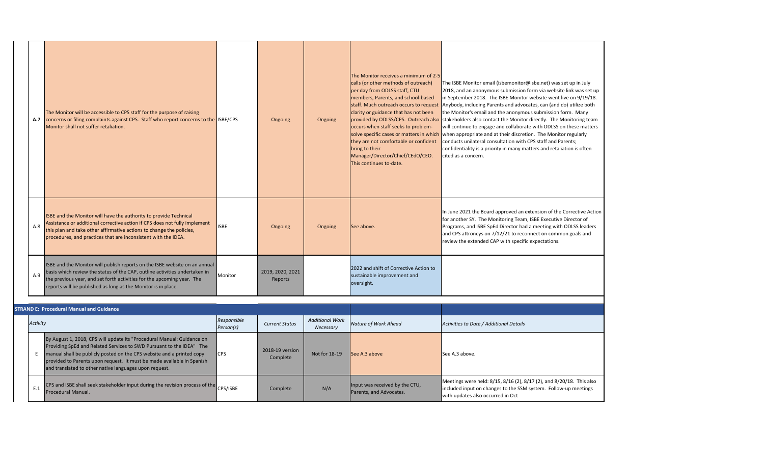|     | The Monitor will be accessible to CPS staff for the purpose of raising<br>A.7 concerns or filing complaints against CPS. Staff who report concerns to the ISBE/CPS<br>Monitor shall not suffer retaliation.                                                                                         |             | Ongoing                     | Ongoing | The Monitor receives a minimum of 2-5<br>calls (or other methods of outreach)<br>per day from ODLSS staff, CTU<br>members, Parents, and school-based<br>staff. Much outreach occurs to request<br>clarity or guidance that has not been<br>provided by ODLSS/CPS. Outreach also stakeholders also contad<br>occurs when staff seeks to problem-<br>solve specific cases or matters in which when appropriate and a<br>they are not comfortable or confident<br>bring to their<br>Manager/Director/Chief/CEdO/CEO.<br>This continues to-date. | The ISBE Monitor email<br>2018, and an anonymou<br>in September 2018. The<br>Anybody, including Pare<br>the Monitor's email and<br>will continue to engage<br>conducts unilateral cons<br>confidentiality is a priori<br>cited as a concern. |
|-----|-----------------------------------------------------------------------------------------------------------------------------------------------------------------------------------------------------------------------------------------------------------------------------------------------------|-------------|-----------------------------|---------|----------------------------------------------------------------------------------------------------------------------------------------------------------------------------------------------------------------------------------------------------------------------------------------------------------------------------------------------------------------------------------------------------------------------------------------------------------------------------------------------------------------------------------------------|----------------------------------------------------------------------------------------------------------------------------------------------------------------------------------------------------------------------------------------------|
| A.8 | ISBE and the Monitor will have the authority to provide Technical<br>Assistance or additional corrective action if CPS does not fully implement<br>this plan and take other affirmative actions to change the policies,<br>procedures, and practices that are inconsistent with the IDEA.           | <b>ISBE</b> | Ongoing                     | Ongoing | See above.                                                                                                                                                                                                                                                                                                                                                                                                                                                                                                                                   | In June 2021 the Board a<br>for another SY. The Mor<br>Programs, and ISBE SpEd<br>and CPS attroneys on 7/<br>review the extended CA                                                                                                          |
| A.9 | ISBE and the Monitor will publish reports on the ISBE website on an annual<br>basis which review the status of the CAP, outline activities undertaken in<br>the previous year, and set forth activities for the upcoming year. The<br>reports will be published as long as the Monitor is in place. | Monitor     | 2019, 2020, 2021<br>Reports |         | 2022 and shift of Corrective Action to<br>sustainable improvement and<br>oversight.                                                                                                                                                                                                                                                                                                                                                                                                                                                          |                                                                                                                                                                                                                                              |

15, 8/16 (2), 8/17 (2), and 8/20/18. This also ges to the SSM system. Follow-up meetings red in Oct

|          | <b>STRAND E: Procedural Manual and Guidance</b>                                                                                                                                                                                                                                                                                                             |                          |                             |                                     |                                                           |                                                                                 |
|----------|-------------------------------------------------------------------------------------------------------------------------------------------------------------------------------------------------------------------------------------------------------------------------------------------------------------------------------------------------------------|--------------------------|-----------------------------|-------------------------------------|-----------------------------------------------------------|---------------------------------------------------------------------------------|
| Activity |                                                                                                                                                                                                                                                                                                                                                             | Responsible<br>Person(s) | <b>Current Status</b>       | <b>Additional Work</b><br>Necessary | Nature of Work Ahead                                      | Activities to Date / Additi                                                     |
|          | By August 1, 2018, CPS will update its "Procedural Manual: Guidance on<br>Providing SpEd and Related Services to SWD Pursuant to the IDEA" The<br>manual shall be publicly posted on the CPS website and a printed copy<br>provided to Parents upon request. It must be made available in Spanish<br>and translated to other native languages upon request. | <b>I</b> CPS             | 2018-19 version<br>Complete | Not for 18-19                       | See A.3 above                                             | See A.3 above.                                                                  |
| E.1      | CPS and ISBE shall seek stakeholder input during the revision process of the<br>Procedural Manual.                                                                                                                                                                                                                                                          | CPS/ISBE                 | Complete                    | N/A                                 | Input was received by the CTU,<br>Parents, and Advocates. | Meetings were held: 8/1<br>included input on change<br>with updates also occurr |

I (isbemonitor@isbe.net) was set up in July 15 submission form via website link was set up e ISBE Monitor website went live on 9/19/18. ents and advocates, can (and do) utilize both I the anonymous submission form. Many act the Monitor directly. The Monitoring team and collaborate with ODLSS on these matters at their discretion. The Monitor regularly sultation with CPS staff and Parents; ity in many matters and retaliation is often

approved an extension of the Corrective Action mitoring Team, ISBE Executive Director of Id Director had a meeting with ODLSS leaders  $/12/21$  to reconnect on common goals and AP with specific expectations.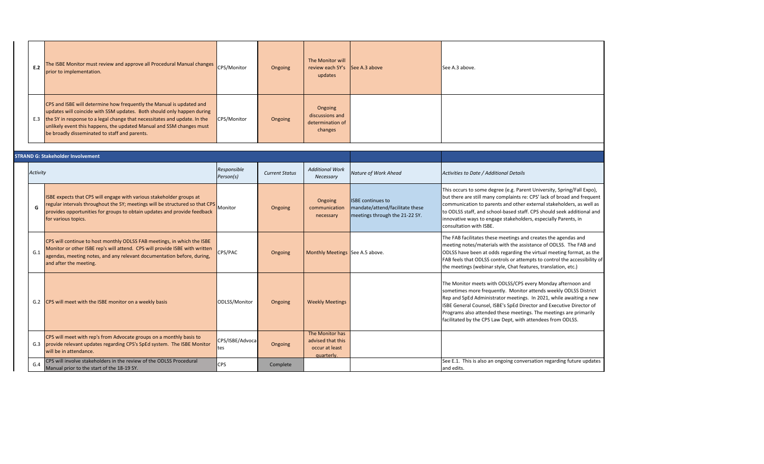| E.2 | The ISBE Monitor must review and approve all Procedural Manual changes<br>prior to implementation.                                                                                                                                                                                                                                                   | CPS/Monitor | Ongoing | The Monitor will<br>review each SY's See A.3 above<br>updates | See A.3 above. |
|-----|------------------------------------------------------------------------------------------------------------------------------------------------------------------------------------------------------------------------------------------------------------------------------------------------------------------------------------------------------|-------------|---------|---------------------------------------------------------------|----------------|
| E.3 | CPS and ISBE will determine how frequently the Manual is updated and<br>updates will coincide with SSM updates. Both should only happen during<br>the SY in response to a legal change that necessitates and update. In the<br>unlikely event this happens, the updated Manual and SSM changes must<br>be broadly disseminated to staff and parents. | CPS/Monitor | Ongoing | Ongoing<br>discussions and<br>determination of<br>changes     |                |

| <b>STRAND G: Stakeholder Involvement</b> |          |                                                                                                                                                                                                                                                                 |                          |                       |                                                                      |                                                                                               |                                                                                                                                                                                                                                                                                                                                                                                                                   |
|------------------------------------------|----------|-----------------------------------------------------------------------------------------------------------------------------------------------------------------------------------------------------------------------------------------------------------------|--------------------------|-----------------------|----------------------------------------------------------------------|-----------------------------------------------------------------------------------------------|-------------------------------------------------------------------------------------------------------------------------------------------------------------------------------------------------------------------------------------------------------------------------------------------------------------------------------------------------------------------------------------------------------------------|
|                                          | Activity |                                                                                                                                                                                                                                                                 | Responsible<br>Person(s) | <b>Current Status</b> | <b>Additional Work</b><br>Necessary                                  | Nature of Work Ahead                                                                          | Activities to Date / Additional Details                                                                                                                                                                                                                                                                                                                                                                           |
|                                          | G        | ISBE expects that CPS will engage with various stakeholder groups at<br>regular intervals throughout the SY; meetings will be structured so that CPS Monitor<br>provides opportunities for groups to obtain updates and provide feedback<br>for various topics. |                          | Ongoing               | Ongoing<br>communication<br>necessary                                | <b>ISBE continues to</b><br>mandate/attend/facilitate these<br>meetings through the 21-22 SY. | This occurs to some degree (e.g. Parent University, Spring/Fall Expo),<br>but there are still many complaints re: CPS' lack of broad and frequent<br>communication to parents and other external stakeholders, as well as<br>to ODLSS staff, and school-based staff. CPS should seek additional and<br>innovative ways to engage stakeholders, especially Parents, in<br>consultation with ISBE.                  |
|                                          | G.1      | CPS will continue to host monthly ODLSS FAB meetings, in which the ISBE<br>Monitor or other ISBE rep's will attend. CPS will provide ISBE with written<br>agendas, meeting notes, and any relevant documentation before, during,<br>and after the meeting.      | CPS/PAC                  | Ongoing               | Monthly Meetings See A.5 above.                                      |                                                                                               | The FAB facilitates these meetings and creates the agendas and<br>meeting notes/materials with the assistance of ODLSS. The FAB and<br>ODLSS have been at odds regarding the virtual meeting format, as the<br>FAB feels that ODLSS controls or attempts to control the accessibility o<br>the meetings (webinar style, Chat features, translation, etc.)                                                         |
|                                          | G.2      | CPS will meet with the ISBE monitor on a weekly basis                                                                                                                                                                                                           | ODLSS/Monitor            | Ongoing               | <b>Weekly Meetings</b>                                               |                                                                                               | The Monitor meets with ODLSS/CPS every Monday afternoon and<br>sometimes more frequently. Monitor attends weekly ODLSS District<br>Rep and SpEd Administrator meetings. In 2021, while awaiting a new<br>ISBE General Counsel, ISBE's SpEd Director and Executive Director of<br>Programs also attended these meetings. The meetings are primarily<br>facilitated by the CPS Law Dept, with attendees from ODLSS. |
|                                          | G.3      | CPS will meet with rep's from Advocate groups on a monthly basis to<br>provide relevant updates regarding CPS's SpEd system. The ISBE Monitor<br>will be in attendance.                                                                                         | CPS/ISBE/Advoca<br>tes   | Ongoing               | The Monitor has<br>advised that this<br>occur at least<br>quarterly. |                                                                                               |                                                                                                                                                                                                                                                                                                                                                                                                                   |
|                                          | G.4      | CPS will involve stakeholders in the review of the ODLSS Procedural<br>Manual prior to the start of the 18-19 SY.                                                                                                                                               | <b>CPS</b>               | Complete              |                                                                      |                                                                                               | See E.1. This is also an ongoing conversation regarding future updates<br>and edits.                                                                                                                                                                                                                                                                                                                              |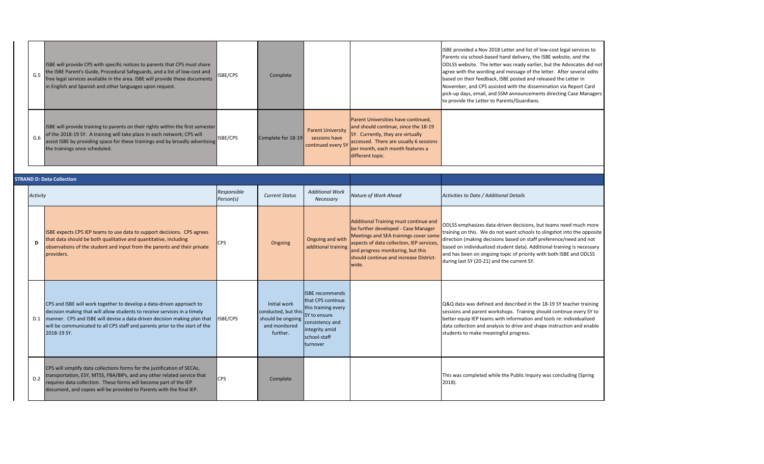| G.5 | ISBE will provide CPS with specific notices to parents that CPS must share<br>the ISBE Parent's Guide, Procedural Safeguards, and a list of low-cost and<br>free legal services available in the area. ISBE will provide these documents<br>in English and Spanish and other languages upon request. | ISBE/CPS | Complete           |                                                                 |                                                                                                                                                                                                                    | ISBE provided a Nov 201<br>Parents via school-based<br>ODLSS website. The lett<br>agree with the wording<br>based on their feedback<br>November, and CPS assi<br>pick-up days, email, and<br>to provide the Letter to |
|-----|------------------------------------------------------------------------------------------------------------------------------------------------------------------------------------------------------------------------------------------------------------------------------------------------------|----------|--------------------|-----------------------------------------------------------------|--------------------------------------------------------------------------------------------------------------------------------------------------------------------------------------------------------------------|-----------------------------------------------------------------------------------------------------------------------------------------------------------------------------------------------------------------------|
| G.6 | ISBE will provide training to parents on their rights within the first semester<br>of the 2018-19 SY. A training will take place in each network; CPS will<br>assist ISBE by providing space for these trainings and by broadly advertising<br>the trainings once scheduled.                         | ISBE/CPS | Complete for 18-19 | <b>Parent University</b><br>sessions have<br>continued every SY | Parent Universities have continued,<br>and should continue, since the 18-19<br>SY. Currently, they are virtually<br>accessed. There are usually 6 sessions<br>per month, each month features a<br>different topic. |                                                                                                                                                                                                                       |

-driven decisions, but teams need much more not want schools to slingshot into the opposite ions based on staff preference/need and not student data). Additional training is necessary ag topic of priority with both ISBE and ODLSS nd the current SY.

and described in the 18-19 SY teacher training rkshops. Training should continue every SY to with information and tools re: individualized lysis to drive and shape instruction and enable ingful progress.

ile the Public Inquiry was concluding (Spring

|          | <b>STRAND D: Data Collection</b>                                                                                                                                                                                                                                                                                           |                          |                                                                                       |                                                                                                                                                     |                                                                                                                                                                                                                                                            |                                                                                                                                                                 |
|----------|----------------------------------------------------------------------------------------------------------------------------------------------------------------------------------------------------------------------------------------------------------------------------------------------------------------------------|--------------------------|---------------------------------------------------------------------------------------|-----------------------------------------------------------------------------------------------------------------------------------------------------|------------------------------------------------------------------------------------------------------------------------------------------------------------------------------------------------------------------------------------------------------------|-----------------------------------------------------------------------------------------------------------------------------------------------------------------|
| Activity |                                                                                                                                                                                                                                                                                                                            | Responsible<br>Person(s) | <b>Current Status</b>                                                                 | <b>Additional Work</b><br>Necessary                                                                                                                 | Nature of Work Ahead                                                                                                                                                                                                                                       | Activities to Date / Addit                                                                                                                                      |
| D        | ISBE expects CPS IEP teams to use data to support decisions. CPS agrees<br>that data should be both qualitative and quantitative, including<br>observations of the student and input from the parents and their private<br>providers.                                                                                      | <b>CPS</b>               | Ongoing                                                                               | Ongoing and with<br>additional training                                                                                                             | Additional Training must continue and<br>be further developed - Case Manager<br>Meetings and SEA trainings cover some<br>aspects of data collection, IEP services,<br>and progress monitoring, but this<br>should continue and increase District-<br>wide. | ODLSS emphasizes data-<br>training on this. We do<br>direction (making decisi<br>based on individualized<br>and has been on ongoin<br>during last SY (20-21) an |
| D.1      | CPS and ISBE will work together to develop a data-driven approach to<br>decision making that will allow students to receive services in a timely<br>manner. CPS and ISBE will devise a data-driven decision making plan that<br>will be communicated to all CPS staff and parents prior to the start of the<br>2018-19 SY. | ISBE/CPS                 | Initial work<br>conducted, but this<br>should be ongoing<br>and monitored<br>further. | <b>ISBE recommends</b><br>that CPS continue<br>this training every<br>SY to ensure<br>consistency and<br>integrity amid<br>school-staff<br>turnover |                                                                                                                                                                                                                                                            | Q&Q data was defined a<br>sessions and parent wor<br>better equip IEP teams v<br>data collection and analy<br>students to make meani                            |
| D.2      | CPS will simplify data collections forms for the justification of SECAs,<br>transportation, ESY, MTSS, FBA/BIPs, and any other related service that<br>requires data collection. These forms will become part of the IEP<br>document, and copies will be provided to Parents with the final IEP.                           | <b>CPS</b>               | Complete                                                                              |                                                                                                                                                     |                                                                                                                                                                                                                                                            | This was completed whi<br>$2018$ ).                                                                                                                             |

18 Letter and list of low-cost legal services to ed hand delivery, the ISBE website, and the ter was ready earlier, but the Advocates did not and message of the letter. After several edits k, ISBE posted and released the Letter in isted with the dissemination via Report Card d SSM announcements directing Case Managers Parents/Guardians.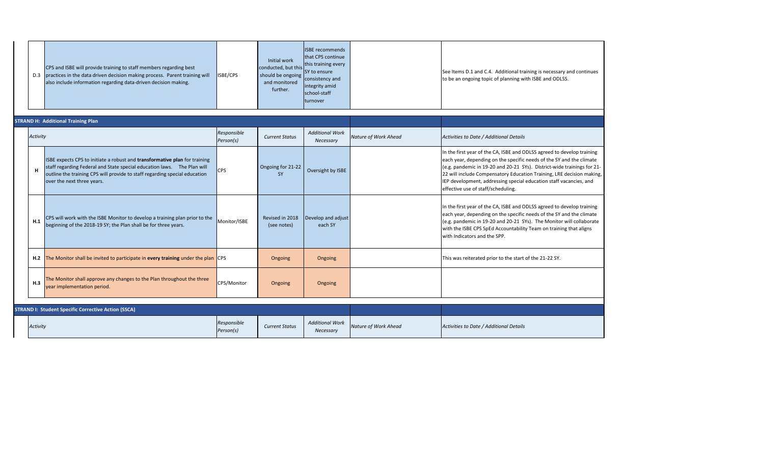| D.3 | CPS and ISBE will provide training to staff members regarding best<br>practices in the data driven decision making process. Parent training will<br>also include information regarding data-driven decision making. | <b>ISBE/CPS</b> | Initial work<br>conducted, but this<br>should be ongoing<br>and monitored<br>further. | <b>ISBE</b> recommends<br>that CPS continue<br>this training every<br>SY to ensure<br>consistency and<br>integrity amid<br>school-staff<br><b>Iturnover</b> |  | See Items D.1 and C.4. A<br>to be an ongoing topic of |
|-----|---------------------------------------------------------------------------------------------------------------------------------------------------------------------------------------------------------------------|-----------------|---------------------------------------------------------------------------------------|-------------------------------------------------------------------------------------------------------------------------------------------------------------|--|-------------------------------------------------------|
|-----|---------------------------------------------------------------------------------------------------------------------------------------------------------------------------------------------------------------------|-----------------|---------------------------------------------------------------------------------------|-------------------------------------------------------------------------------------------------------------------------------------------------------------|--|-------------------------------------------------------|

A, ISBE and ODLSS agreed to develop training i the specific needs of the SY and the climate and 20-21 SYs). District-wide trainings for 21satory Education Training, LRE decision making, Issing special education staff vacancies, and heduling.

A, ISBE and ODLSS agreed to develop training n the specific needs of the SY and the climate and 20-21 SYs). The Monitor will collaborate Accountability Team on training that aligns SPP.

**hall be invited to part in the 21-22 SY.** This was reited **be** start of the start of the 21-22 SY.

|  |          | <b>STRAND H: Additional Training Plan</b>                                                                                                                                                                                                                          |                          |                                |                                     |                      |                                                                                                                                                                                                                                              |
|--|----------|--------------------------------------------------------------------------------------------------------------------------------------------------------------------------------------------------------------------------------------------------------------------|--------------------------|--------------------------------|-------------------------------------|----------------------|----------------------------------------------------------------------------------------------------------------------------------------------------------------------------------------------------------------------------------------------|
|  | Activity |                                                                                                                                                                                                                                                                    | Responsible<br>Person(s) | <b>Current Status</b>          | <b>Additional Work</b><br>Necessary | Nature of Work Ahead | Activities to Date / Additional Details                                                                                                                                                                                                      |
|  | Н        | ISBE expects CPS to initiate a robust and transformative plan for training<br>staff regarding Federal and State special education laws.  The Plan will<br>outline the training CPS will provide to staff regarding special education<br>over the next three years. | <b>CPS</b>               | Ongoing for 21-22<br><b>SY</b> | Oversight by ISBE                   |                      | In the first year of the CA, ISBE and C<br>each year, depending on the specific<br>$(e.g.$ pandemic in 19-20 and 20-21 S<br>22 will include Compensatory Educat<br>IEP development, addressing special<br>effective use of staff/scheduling. |
|  | H.1      | CPS will work with the ISBE Monitor to develop a training plan prior to the<br>beginning of the 2018-19 SY; the Plan shall be for three years.                                                                                                                     | Monitor/ISBE             | Revised in 2018<br>(see notes) | Develop and adjust<br>each SY       |                      | In the first year of the CA, ISBE and C<br>each year, depending on the specific<br>(e.g. pandemic in 19-20 and 20-21 S<br>with the ISBE CPS SpEd Accountabilit<br>with Indicators and the SPP.                                               |
|  | H.2      | The Monitor shall be invited to participate in every training under the plan CPS                                                                                                                                                                                   |                          | Ongoing                        | Ongoing                             |                      | This was reiterated prior to the start                                                                                                                                                                                                       |
|  | H.3      | The Monitor shall approve any changes to the Plan throughout the three<br>year implementation period.                                                                                                                                                              | CPS/Monitor              | Ongoing                        | Ongoing                             |                      |                                                                                                                                                                                                                                              |
|  |          |                                                                                                                                                                                                                                                                    |                          |                                |                                     |                      |                                                                                                                                                                                                                                              |
|  |          | <b>STRAND I: Student Specific Corrective Action (SSCA)</b>                                                                                                                                                                                                         |                          |                                |                                     |                      |                                                                                                                                                                                                                                              |
|  | Activity |                                                                                                                                                                                                                                                                    | Responsible<br>Person(s) | <b>Current Status</b>          | <b>Additional Work</b><br>Necessary | Nature of Work Ahead | Activities to Date / Additional Details                                                                                                                                                                                                      |

Additional training is necessary and continues f planning with ISBE and ODLSS.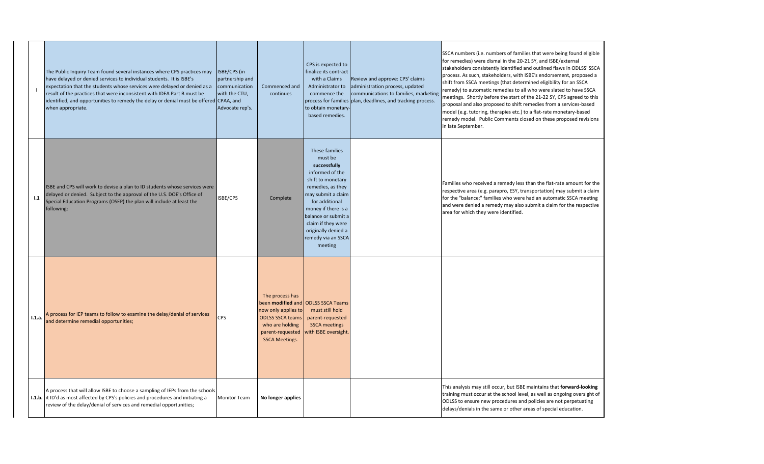|        | The Public Inquiry Team found several instances where CPS practices may<br>have delayed or denied services to individual students. It is ISBE's<br>expectation that the students whose services were delayed or denied as a<br>result of the practices that were inconsistent with IDEA Part B must be<br>identified, and opportunities to remedy the delay or denial must be offered CPAA, and<br>when appropriate. | ISBE/CPS (in<br>partnership and<br>communication<br>with the CTU,<br>Advocate rep's. | Commenced and<br>continues                                                                                                        | CPS is expected to<br>finalize its contract<br>with a Claims<br>Administrator to<br>commence the<br>to obtain monetary-<br>based remedies.                                                                                                                                 | Review and approve: CPS' claims<br>administration process, updated<br>communications to families, marketing<br>process for families plan, deadlines, and tracking process. | SSCA numbers (i.e. numl<br>for remedies) were dism<br>stakeholders consistentl<br>process. As such, stakeh<br>shift from SSCA meeting<br>remedy) to automatic re<br>meetings. Shortly befor<br>proposal and also propo<br>model (e.g. tutoring, the<br>remedy model. Public C<br>in late September. |
|--------|----------------------------------------------------------------------------------------------------------------------------------------------------------------------------------------------------------------------------------------------------------------------------------------------------------------------------------------------------------------------------------------------------------------------|--------------------------------------------------------------------------------------|-----------------------------------------------------------------------------------------------------------------------------------|----------------------------------------------------------------------------------------------------------------------------------------------------------------------------------------------------------------------------------------------------------------------------|----------------------------------------------------------------------------------------------------------------------------------------------------------------------------|-----------------------------------------------------------------------------------------------------------------------------------------------------------------------------------------------------------------------------------------------------------------------------------------------------|
| 1.1    | ISBE and CPS will work to devise a plan to ID students whose services were<br>delayed or denied. Subject to the approval of the U.S. DOE's Office of<br>Special Education Programs (OSEP) the plan will include at least the<br>following:                                                                                                                                                                           | ISBE/CPS                                                                             | Complete                                                                                                                          | These families<br>must be<br>successfully<br>informed of the<br>shift to monetary<br>remedies, as they<br>may submit a claim<br>for additional<br>money if there is a<br>balance or submit a<br>claim if they were<br>originally denied a<br>remedy via an SSCA<br>meeting |                                                                                                                                                                            | Families who received a<br>respective area (e.g. par<br>for the "balance;" famili<br>and were denied a reme<br>area for which they wer                                                                                                                                                              |
| 1.1.a. | A process for IEP teams to follow to examine the delay/denial of services<br>and determine remedial opportunities;                                                                                                                                                                                                                                                                                                   | <b>CPS</b>                                                                           | The process has<br>now only applies to<br><b>ODLSS SSCA teams</b><br>who are holding<br>parent-requested<br><b>SSCA Meetings.</b> | been modified and ODLSS SSCA Teams<br>must still hold<br>parent-requested<br><b>SSCA meetings</b><br>with ISBE oversight.                                                                                                                                                  |                                                                                                                                                                            |                                                                                                                                                                                                                                                                                                     |
|        | A process that will allow ISBE to choose a sampling of IEPs from the schools<br>I.1.b. it ID'd as most affected by CPS's policies and procedures and initiating a<br>review of the delay/denial of services and remedial opportunities;                                                                                                                                                                              | Monitor Team                                                                         | No longer applies                                                                                                                 |                                                                                                                                                                                                                                                                            |                                                                                                                                                                            | This analysis may still oc<br>training must occur at th<br>ODLSS to ensure new pr<br>delays/denials in the sar                                                                                                                                                                                      |

Ibers of families that were being found eligible nal in the 20-21 SY, and ISBE/external ly identified and outlined flaws in ODLSS' SSCA nolders, with ISBE's endorsement, proposed a gs (that determined eligibility for an SSCA emedies to all who were slated to have SSCA re the start of the 21-22 SY, CPS agreed to this psed to shift remedies from a services-based erapies etc.) to a flat-rate monetary-based Comments closed on these proposed revisions

I remedy less than the flat-rate amount for the rapro, ESY, transportation) may submit a claim ies who were had an automatic SSCA meeting edy may also submit a claim for the respective re identified.

ccur, but ISBE maintains that **forward-looking** he school level, as well as ongoing oversight of rocedures and policies are not perpetuating me or other areas of special education.